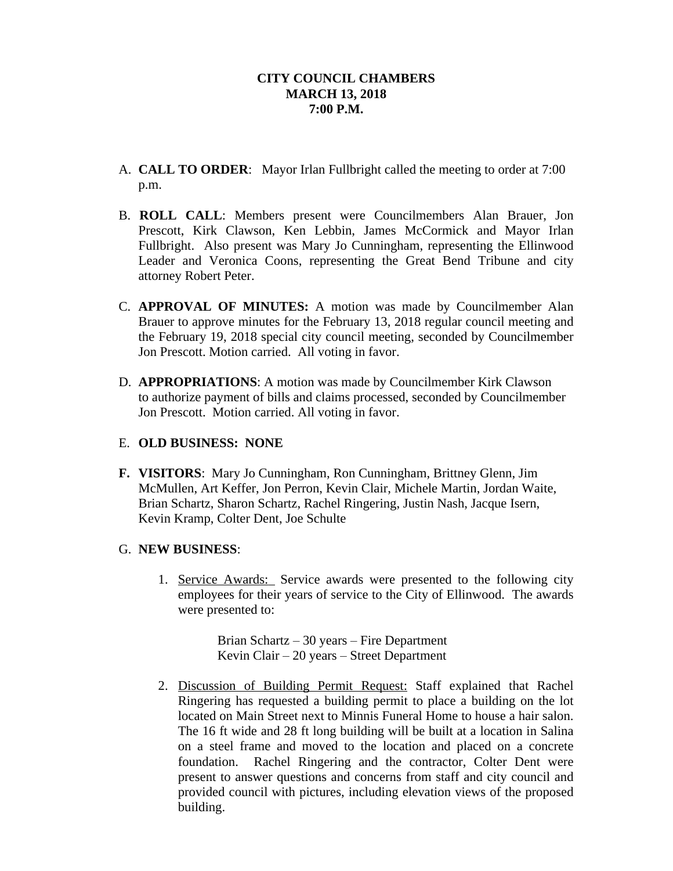- A. **CALL TO ORDER**: Mayor Irlan Fullbright called the meeting to order at 7:00 p.m.
- B. **ROLL CALL**: Members present were Councilmembers Alan Brauer, Jon Prescott, Kirk Clawson, Ken Lebbin, James McCormick and Mayor Irlan Fullbright. Also present was Mary Jo Cunningham, representing the Ellinwood Leader and Veronica Coons, representing the Great Bend Tribune and city attorney Robert Peter.
- C. **APPROVAL OF MINUTES:** A motion was made by Councilmember Alan Brauer to approve minutes for the February 13, 2018 regular council meeting and the February 19, 2018 special city council meeting, seconded by Councilmember Jon Prescott. Motion carried. All voting in favor.
- D. **APPROPRIATIONS**: A motion was made by Councilmember Kirk Clawson to authorize payment of bills and claims processed, seconded by Councilmember Jon Prescott. Motion carried. All voting in favor.

# E. **OLD BUSINESS: NONE**

**F. VISITORS**: Mary Jo Cunningham, Ron Cunningham, Brittney Glenn, Jim McMullen, Art Keffer, Jon Perron, Kevin Clair, Michele Martin, Jordan Waite, Brian Schartz, Sharon Schartz, Rachel Ringering, Justin Nash, Jacque Isern, Kevin Kramp, Colter Dent, Joe Schulte

# G. **NEW BUSINESS**:

1. Service Awards: Service awards were presented to the following city employees for their years of service to the City of Ellinwood. The awards were presented to:

> Brian Schartz – 30 years – Fire Department Kevin Clair – 20 years – Street Department

2. Discussion of Building Permit Request: Staff explained that Rachel Ringering has requested a building permit to place a building on the lot located on Main Street next to Minnis Funeral Home to house a hair salon. The 16 ft wide and 28 ft long building will be built at a location in Salina on a steel frame and moved to the location and placed on a concrete foundation. Rachel Ringering and the contractor, Colter Dent were present to answer questions and concerns from staff and city council and provided council with pictures, including elevation views of the proposed building.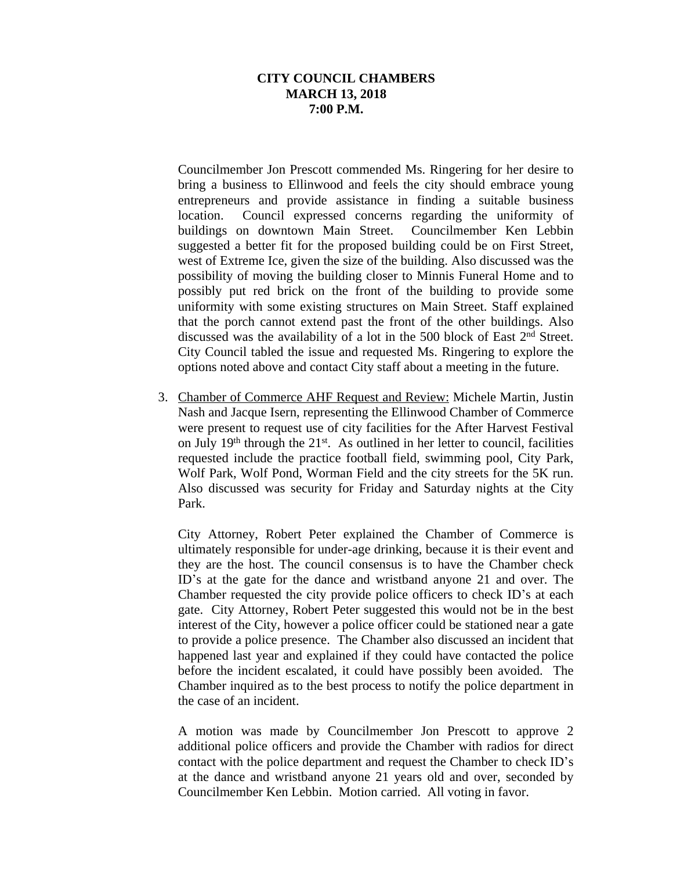Councilmember Jon Prescott commended Ms. Ringering for her desire to bring a business to Ellinwood and feels the city should embrace young entrepreneurs and provide assistance in finding a suitable business location. Council expressed concerns regarding the uniformity of buildings on downtown Main Street. Councilmember Ken Lebbin suggested a better fit for the proposed building could be on First Street, west of Extreme Ice, given the size of the building. Also discussed was the possibility of moving the building closer to Minnis Funeral Home and to possibly put red brick on the front of the building to provide some uniformity with some existing structures on Main Street. Staff explained that the porch cannot extend past the front of the other buildings. Also discussed was the availability of a lot in the 500 block of East 2<sup>nd</sup> Street. City Council tabled the issue and requested Ms. Ringering to explore the options noted above and contact City staff about a meeting in the future.

3. Chamber of Commerce AHF Request and Review: Michele Martin, Justin Nash and Jacque Isern, representing the Ellinwood Chamber of Commerce were present to request use of city facilities for the After Harvest Festival on July 19<sup>th</sup> through the 21<sup>st</sup>. As outlined in her letter to council, facilities requested include the practice football field, swimming pool, City Park, Wolf Park, Wolf Pond, Worman Field and the city streets for the 5K run. Also discussed was security for Friday and Saturday nights at the City Park.

City Attorney, Robert Peter explained the Chamber of Commerce is ultimately responsible for under-age drinking, because it is their event and they are the host. The council consensus is to have the Chamber check ID's at the gate for the dance and wristband anyone 21 and over. The Chamber requested the city provide police officers to check ID's at each gate. City Attorney, Robert Peter suggested this would not be in the best interest of the City, however a police officer could be stationed near a gate to provide a police presence. The Chamber also discussed an incident that happened last year and explained if they could have contacted the police before the incident escalated, it could have possibly been avoided. The Chamber inquired as to the best process to notify the police department in the case of an incident.

A motion was made by Councilmember Jon Prescott to approve 2 additional police officers and provide the Chamber with radios for direct contact with the police department and request the Chamber to check ID's at the dance and wristband anyone 21 years old and over, seconded by Councilmember Ken Lebbin. Motion carried. All voting in favor.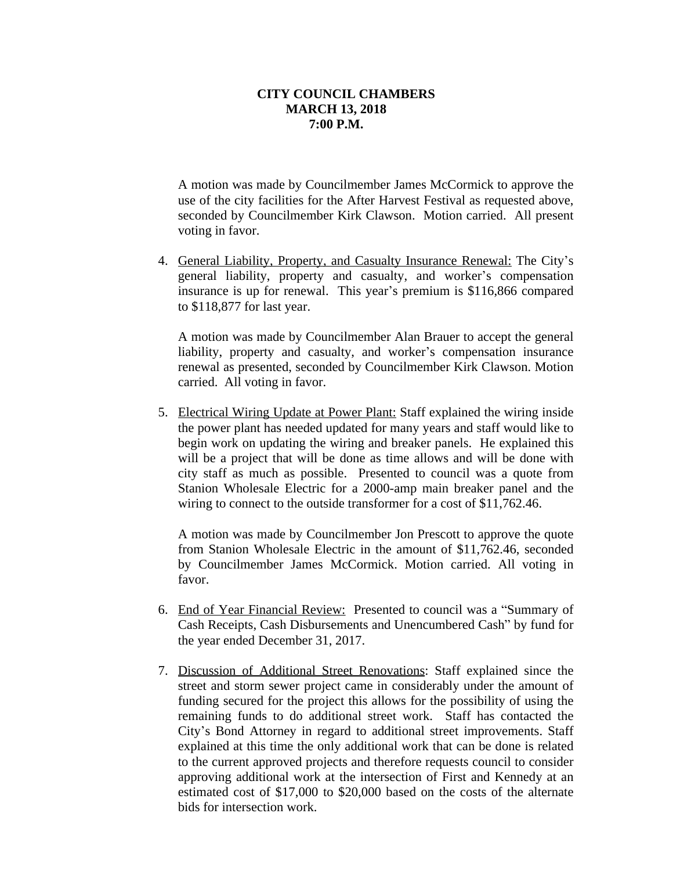A motion was made by Councilmember James McCormick to approve the use of the city facilities for the After Harvest Festival as requested above, seconded by Councilmember Kirk Clawson. Motion carried. All present voting in favor.

4. General Liability, Property, and Casualty Insurance Renewal: The City's general liability, property and casualty, and worker's compensation insurance is up for renewal. This year's premium is \$116,866 compared to \$118,877 for last year.

A motion was made by Councilmember Alan Brauer to accept the general liability, property and casualty, and worker's compensation insurance renewal as presented, seconded by Councilmember Kirk Clawson. Motion carried. All voting in favor.

5. Electrical Wiring Update at Power Plant: Staff explained the wiring inside the power plant has needed updated for many years and staff would like to begin work on updating the wiring and breaker panels. He explained this will be a project that will be done as time allows and will be done with city staff as much as possible. Presented to council was a quote from Stanion Wholesale Electric for a 2000-amp main breaker panel and the wiring to connect to the outside transformer for a cost of \$11,762.46.

A motion was made by Councilmember Jon Prescott to approve the quote from Stanion Wholesale Electric in the amount of \$11,762.46, seconded by Councilmember James McCormick. Motion carried. All voting in favor.

- 6. End of Year Financial Review: Presented to council was a "Summary of Cash Receipts, Cash Disbursements and Unencumbered Cash" by fund for the year ended December 31, 2017.
- 7. Discussion of Additional Street Renovations: Staff explained since the street and storm sewer project came in considerably under the amount of funding secured for the project this allows for the possibility of using the remaining funds to do additional street work. Staff has contacted the City's Bond Attorney in regard to additional street improvements. Staff explained at this time the only additional work that can be done is related to the current approved projects and therefore requests council to consider approving additional work at the intersection of First and Kennedy at an estimated cost of \$17,000 to \$20,000 based on the costs of the alternate bids for intersection work.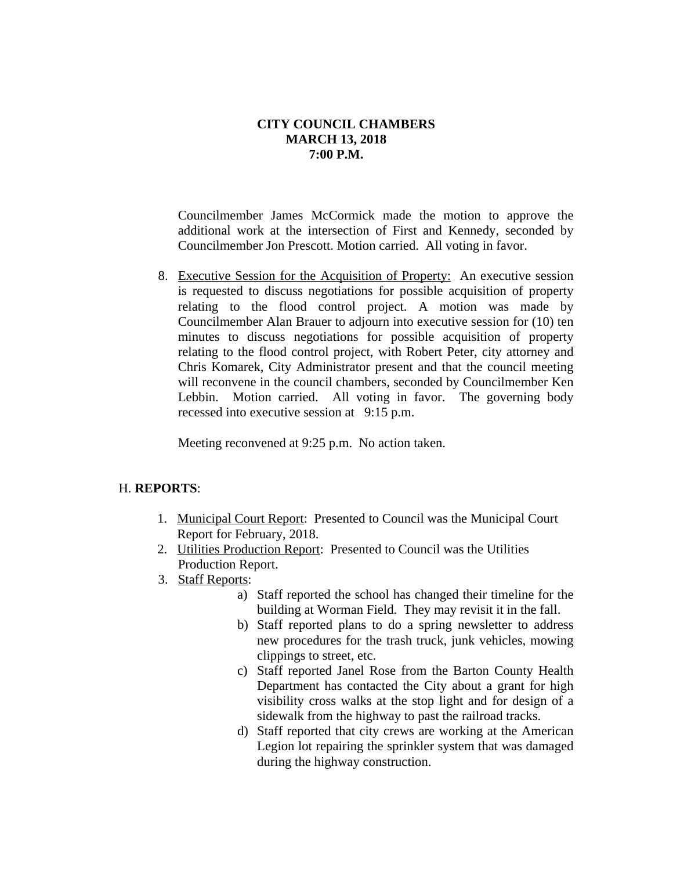Councilmember James McCormick made the motion to approve the additional work at the intersection of First and Kennedy, seconded by Councilmember Jon Prescott. Motion carried. All voting in favor.

8. Executive Session for the Acquisition of Property: An executive session is requested to discuss negotiations for possible acquisition of property relating to the flood control project. A motion was made by Councilmember Alan Brauer to adjourn into executive session for (10) ten minutes to discuss negotiations for possible acquisition of property relating to the flood control project, with Robert Peter, city attorney and Chris Komarek, City Administrator present and that the council meeting will reconvene in the council chambers, seconded by Councilmember Ken Lebbin. Motion carried. All voting in favor. The governing body recessed into executive session at 9:15 p.m.

Meeting reconvened at 9:25 p.m. No action taken.

# H. **REPORTS**:

- 1. Municipal Court Report: Presented to Council was the Municipal Court Report for February, 2018.
- 2. Utilities Production Report: Presented to Council was the Utilities Production Report.
- 3. Staff Reports:
	- a) Staff reported the school has changed their timeline for the building at Worman Field. They may revisit it in the fall.
	- b) Staff reported plans to do a spring newsletter to address new procedures for the trash truck, junk vehicles, mowing clippings to street, etc.
	- c) Staff reported Janel Rose from the Barton County Health Department has contacted the City about a grant for high visibility cross walks at the stop light and for design of a sidewalk from the highway to past the railroad tracks.
	- d) Staff reported that city crews are working at the American Legion lot repairing the sprinkler system that was damaged during the highway construction.